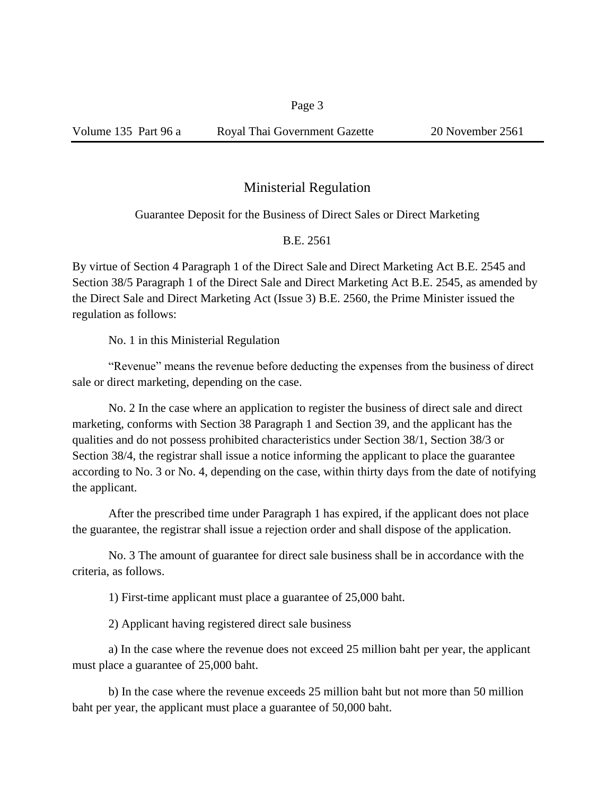## Ministerial Regulation

## Guarantee Deposit for the Business of Direct Sales or Direct Marketing

B.E. 2561

By virtue of Section 4 Paragraph 1 of the Direct Sale and Direct Marketing Act B.E. 2545 and Section 38/5 Paragraph 1 of the Direct Sale and Direct Marketing Act B.E. 2545, as amended by the Direct Sale and Direct Marketing Act (Issue 3) B.E. 2560, the Prime Minister issued the regulation as follows:

No. 1 in this Ministerial Regulation

"Revenue" means the revenue before deducting the expenses from the business of direct sale or direct marketing, depending on the case.

No. 2 In the case where an application to register the business of direct sale and direct marketing, conforms with Section 38 Paragraph 1 and Section 39, and the applicant has the qualities and do not possess prohibited characteristics under Section 38/1, Section 38/3 or Section 38/4, the registrar shall issue a notice informing the applicant to place the guarantee according to No. 3 or No. 4, depending on the case, within thirty days from the date of notifying the applicant.

After the prescribed time under Paragraph 1 has expired, if the applicant does not place the guarantee, the registrar shall issue a rejection order and shall dispose of the application.

No. 3 The amount of guarantee for direct sale business shall be in accordance with the criteria, as follows.

1) First-time applicant must place a guarantee of 25,000 baht.

2) Applicant having registered direct sale business

a) In the case where the revenue does not exceed 25 million baht per year, the applicant must place a guarantee of 25,000 baht.

b) In the case where the revenue exceeds 25 million baht but not more than 50 million baht per year, the applicant must place a guarantee of 50,000 baht.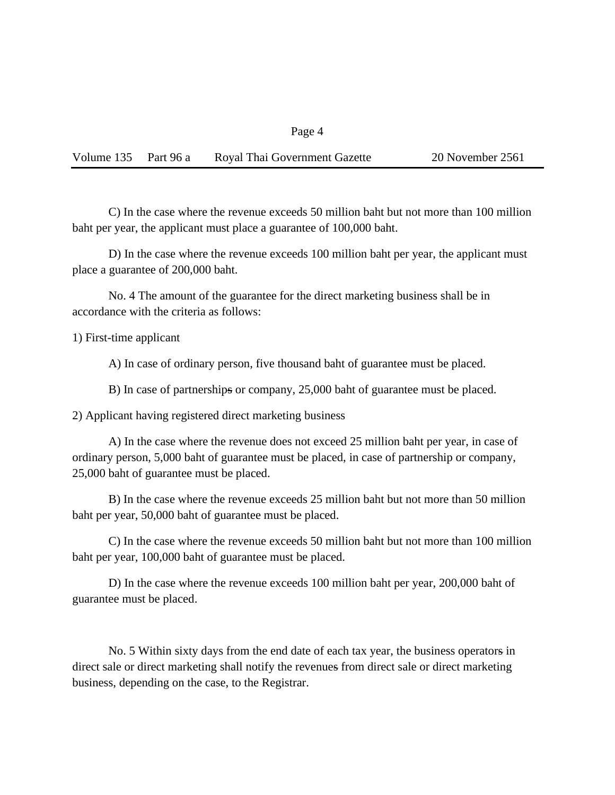Page 4

| Volume 135 Part 96 a |  | Royal Thai Government Gazette | 20 November 2561 |
|----------------------|--|-------------------------------|------------------|
|----------------------|--|-------------------------------|------------------|

C) In the case where the revenue exceeds 50 million baht but not more than 100 million baht per year, the applicant must place a guarantee of 100,000 baht.

D) In the case where the revenue exceeds 100 million baht per year, the applicant must place a guarantee of 200,000 baht.

No. 4 The amount of the guarantee for the direct marketing business shall be in accordance with the criteria as follows:

1) First-time applicant

A) In case of ordinary person, five thousand baht of guarantee must be placed.

B) In case of partnerships or company, 25,000 baht of guarantee must be placed.

2) Applicant having registered direct marketing business

A) In the case where the revenue does not exceed 25 million baht per year, in case of ordinary person, 5,000 baht of guarantee must be placed, in case of partnership or company, 25,000 baht of guarantee must be placed.

B) In the case where the revenue exceeds 25 million baht but not more than 50 million baht per year, 50,000 baht of guarantee must be placed.

C) In the case where the revenue exceeds 50 million baht but not more than 100 million baht per year, 100,000 baht of guarantee must be placed.

D) In the case where the revenue exceeds 100 million baht per year, 200,000 baht of guarantee must be placed.

No. 5 Within sixty days from the end date of each tax year, the business operators in direct sale or direct marketing shall notify the revenues from direct sale or direct marketing business, depending on the case, to the Registrar.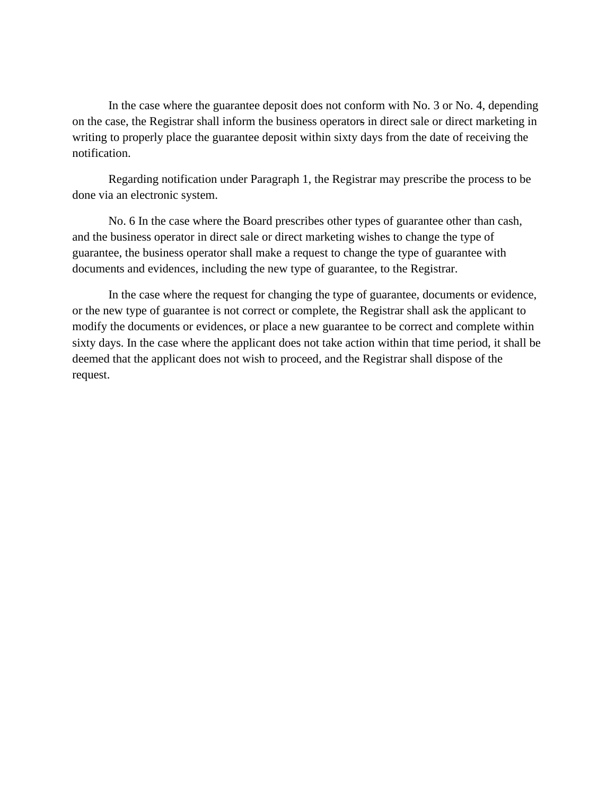In the case where the guarantee deposit does not conform with No. 3 or No. 4, depending on the case, the Registrar shall inform the business operators in direct sale or direct marketing in writing to properly place the guarantee deposit within sixty days from the date of receiving the notification.

Regarding notification under Paragraph 1, the Registrar may prescribe the process to be done via an electronic system.

No. 6 In the case where the Board prescribes other types of guarantee other than cash, and the business operator in direct sale or direct marketing wishes to change the type of guarantee, the business operator shall make a request to change the type of guarantee with documents and evidences, including the new type of guarantee, to the Registrar.

In the case where the request for changing the type of guarantee, documents or evidence, or the new type of guarantee is not correct or complete, the Registrar shall ask the applicant to modify the documents or evidences, or place a new guarantee to be correct and complete within sixty days. In the case where the applicant does not take action within that time period, it shall be deemed that the applicant does not wish to proceed, and the Registrar shall dispose of the request.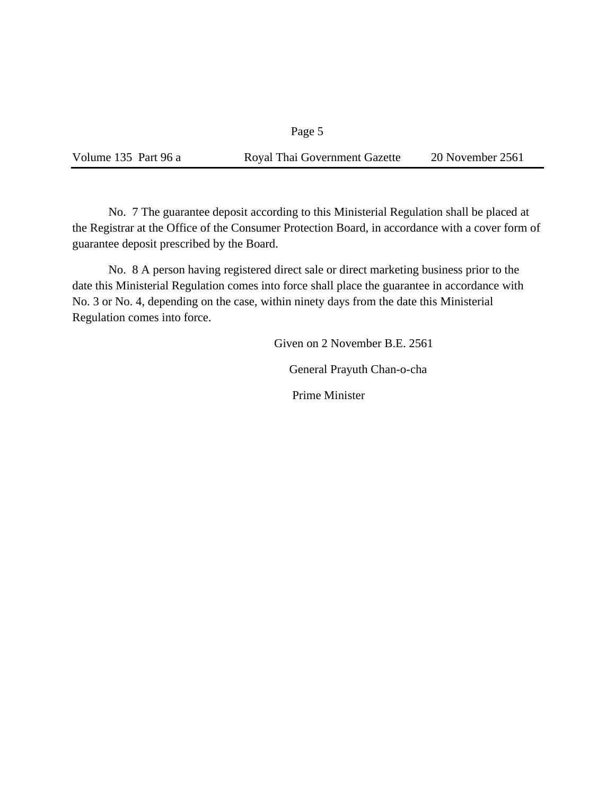## Page 5

Volume 135 Part 96 a Royal Thai Government Gazette 20 November 2561

No. 7 The guarantee deposit according to this Ministerial Regulation shall be placed at the Registrar at the Office of the Consumer Protection Board, in accordance with a cover form of guarantee deposit prescribed by the Board.

No. 8 A person having registered direct sale or direct marketing business prior to the date this Ministerial Regulation comes into force shall place the guarantee in accordance with No. 3 or No. 4, depending on the case, within ninety days from the date this Ministerial Regulation comes into force.

> Given on 2 November B.E. 2561 General Prayuth Chan-o-cha Prime Minister